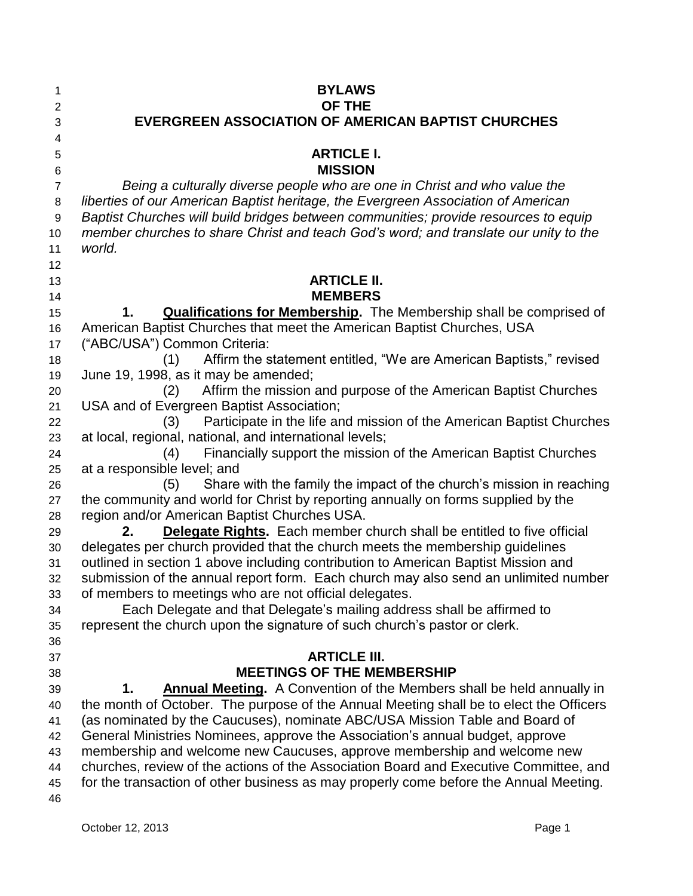| 1                   | <b>BYLAWS</b>                                                                                                                                                               |
|---------------------|-----------------------------------------------------------------------------------------------------------------------------------------------------------------------------|
| $\overline{2}$<br>3 | OF THE<br><b>EVERGREEN ASSOCIATION OF AMERICAN BAPTIST CHURCHES</b>                                                                                                         |
| 4<br>5              | <b>ARTICLE I.</b>                                                                                                                                                           |
| $\,6$               | <b>MISSION</b>                                                                                                                                                              |
| $\overline{7}$      | Being a culturally diverse people who are one in Christ and who value the                                                                                                   |
| 8                   | liberties of our American Baptist heritage, the Evergreen Association of American                                                                                           |
| 9                   | Baptist Churches will build bridges between communities; provide resources to equip<br>member churches to share Christ and teach God's word; and translate our unity to the |
| 10<br>11            | world.                                                                                                                                                                      |
| 12                  |                                                                                                                                                                             |
| 13                  | <b>ARTICLE II.</b>                                                                                                                                                          |
| 14                  | <b>MEMBERS</b>                                                                                                                                                              |
| 15                  | <b>Qualifications for Membership.</b> The Membership shall be comprised of<br>1.                                                                                            |
| 16                  | American Baptist Churches that meet the American Baptist Churches, USA                                                                                                      |
| 17                  | ("ABC/USA") Common Criteria:                                                                                                                                                |
| 18                  | Affirm the statement entitled, "We are American Baptists," revised<br>(1)                                                                                                   |
| 19                  | June 19, 1998, as it may be amended;                                                                                                                                        |
| 20<br>21            | Affirm the mission and purpose of the American Baptist Churches<br>(2)<br>USA and of Evergreen Baptist Association;                                                         |
| 22                  | Participate in the life and mission of the American Baptist Churches<br>(3)                                                                                                 |
| 23                  | at local, regional, national, and international levels;                                                                                                                     |
| 24                  | Financially support the mission of the American Baptist Churches<br>(4)                                                                                                     |
| 25                  | at a responsible level; and                                                                                                                                                 |
| 26                  | Share with the family the impact of the church's mission in reaching<br>(5)                                                                                                 |
| 27                  | the community and world for Christ by reporting annually on forms supplied by the                                                                                           |
| 28                  | region and/or American Baptist Churches USA.                                                                                                                                |
| 29                  | <b>Delegate Rights.</b> Each member church shall be entitled to five official<br>2.                                                                                         |
| 30<br>31            | delegates per church provided that the church meets the membership guidelines<br>outlined in section 1 above including contribution to American Baptist Mission and         |
| 32                  | submission of the annual report form. Each church may also send an unlimited number                                                                                         |
| 33                  | of members to meetings who are not official delegates.                                                                                                                      |
| 34                  | Each Delegate and that Delegate's mailing address shall be affirmed to                                                                                                      |
| 35                  | represent the church upon the signature of such church's pastor or clerk.                                                                                                   |
| 36                  |                                                                                                                                                                             |
| 37                  | <b>ARTICLE III.</b>                                                                                                                                                         |
| 38                  | <b>MEETINGS OF THE MEMBERSHIP</b>                                                                                                                                           |
| 39                  | Annual Meeting. A Convention of the Members shall be held annually in<br>1.                                                                                                 |
| 40                  | the month of October. The purpose of the Annual Meeting shall be to elect the Officers                                                                                      |
| 41<br>42            | (as nominated by the Caucuses), nominate ABC/USA Mission Table and Board of<br>General Ministries Nominees, approve the Association's annual budget, approve                |
| 43                  | membership and welcome new Caucuses, approve membership and welcome new                                                                                                     |
| 44                  | churches, review of the actions of the Association Board and Executive Committee, and                                                                                       |
| 45                  | for the transaction of other business as may properly come before the Annual Meeting.                                                                                       |
| 46                  |                                                                                                                                                                             |
|                     |                                                                                                                                                                             |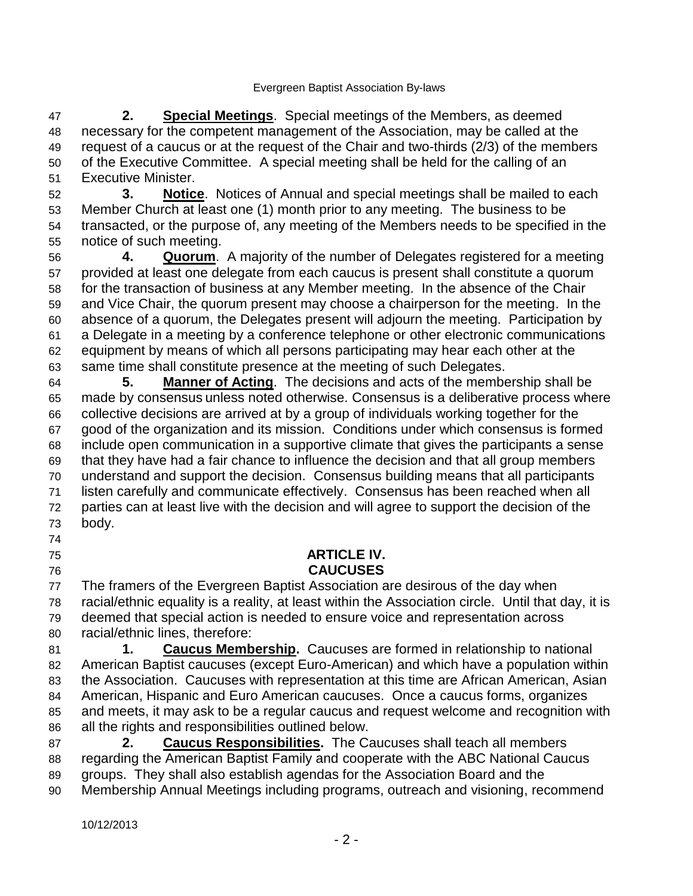**2. Special Meetings**. Special meetings of the Members, as deemed necessary for the competent management of the Association, may be called at the request of a caucus or at the request of the Chair and two-thirds (2/3) of the members of the Executive Committee. A special meeting shall be held for the calling of an Executive Minister.

 **3. Notice**. Notices of Annual and special meetings shall be mailed to each Member Church at least one (1) month prior to any meeting. The business to be transacted, or the purpose of, any meeting of the Members needs to be specified in the notice of such meeting.

 **4. Quorum**. A majority of the number of Delegates registered for a meeting provided at least one delegate from each caucus is present shall constitute a quorum for the transaction of business at any Member meeting. In the absence of the Chair and Vice Chair, the quorum present may choose a chairperson for the meeting. In the absence of a quorum, the Delegates present will adjourn the meeting. Participation by a Delegate in a meeting by a conference telephone or other electronic communications equipment by means of which all persons participating may hear each other at the same time shall constitute presence at the meeting of such Delegates.

 **5. Manner of Acting**. The decisions and acts of the membership shall be made by consensus unless noted otherwise. Consensus is a deliberative process where collective decisions are arrived at by a group of individuals working together for the good of the organization and its mission. Conditions under which consensus is formed include open communication in a supportive climate that gives the participants a sense that they have had a fair chance to influence the decision and that all group members understand and support the decision. Consensus building means that all participants listen carefully and communicate effectively. Consensus has been reached when all parties can at least live with the decision and will agree to support the decision of the body.

# **ARTICLE IV. CAUCUSES**

 The framers of the Evergreen Baptist Association are desirous of the day when racial/ethnic equality is a reality, at least within the Association circle. Until that day, it is deemed that special action is needed to ensure voice and representation across racial/ethnic lines, therefore:

 **1. Caucus Membership.** Caucuses are formed in relationship to national American Baptist caucuses (except Euro-American) and which have a population within the Association. Caucuses with representation at this time are African American, Asian American, Hispanic and Euro American caucuses. Once a caucus forms, organizes and meets, it may ask to be a regular caucus and request welcome and recognition with all the rights and responsibilities outlined below.

 **2. Caucus Responsibilities.** The Caucuses shall teach all members regarding the American Baptist Family and cooperate with the ABC National Caucus groups. They shall also establish agendas for the Association Board and the Membership Annual Meetings including programs, outreach and visioning, recommend

10/12/2013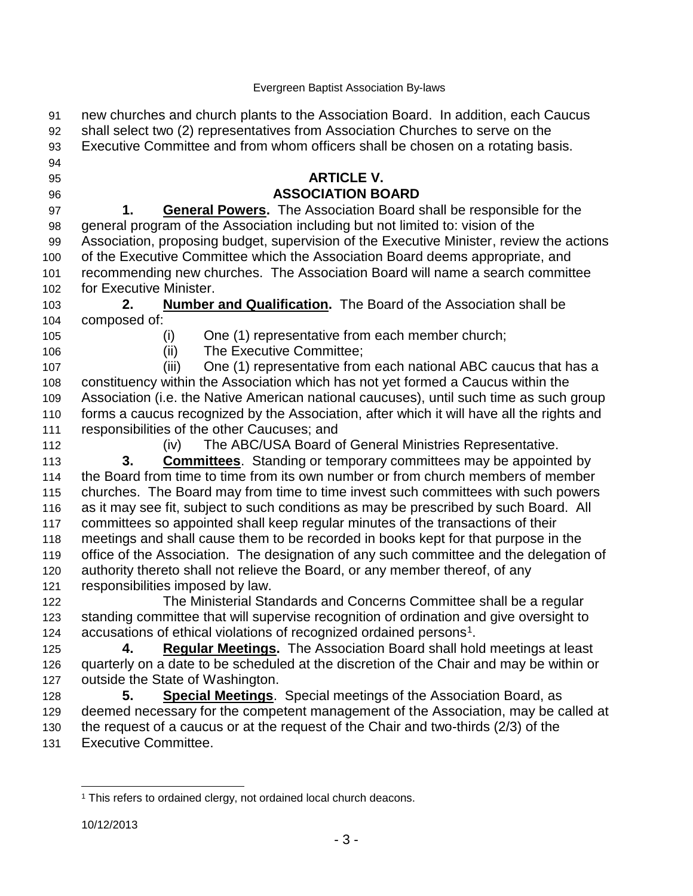new churches and church plants to the Association Board. In addition, each Caucus shall select two (2) representatives from Association Churches to serve on the Executive Committee and from whom officers shall be chosen on a rotating basis. **ARTICLE V. ASSOCIATION BOARD 1. General Powers.** The Association Board shall be responsible for the general program of the Association including but not limited to: vision of the Association, proposing budget, supervision of the Executive Minister, review the actions of the Executive Committee which the Association Board deems appropriate, and recommending new churches. The Association Board will name a search committee for Executive Minister. **2. Number and Qualification.** The Board of the Association shall be composed of: (i) One (1) representative from each member church; (ii) The Executive Committee; (iii) One (1) representative from each national ABC caucus that has a constituency within the Association which has not yet formed a Caucus within the Association (i.e. the Native American national caucuses), until such time as such group forms a caucus recognized by the Association, after which it will have all the rights and responsibilities of the other Caucuses; and (iv) The ABC/USA Board of General Ministries Representative. **3. Committees**. Standing or temporary committees may be appointed by the Board from time to time from its own number or from church members of member churches. The Board may from time to time invest such committees with such powers as it may see fit, subject to such conditions as may be prescribed by such Board. All committees so appointed shall keep regular minutes of the transactions of their meetings and shall cause them to be recorded in books kept for that purpose in the office of the Association. The designation of any such committee and the delegation of authority thereto shall not relieve the Board, or any member thereof, of any responsibilities imposed by law. The Ministerial Standards and Concerns Committee shall be a regular standing committee that will supervise recognition of ordination and give oversight to 124 accusations of ethical violations of recognized ordained persons<sup>1</sup>. **4. Regular Meetings.** The Association Board shall hold meetings at least quarterly on a date to be scheduled at the discretion of the Chair and may be within or outside the State of Washington. **5. Special Meetings**. Special meetings of the Association Board, as deemed necessary for the competent management of the Association, may be called at the request of a caucus or at the request of the Chair and two-thirds (2/3) of the Executive Committee.

l <sup>1</sup> This refers to ordained clergy, not ordained local church deacons.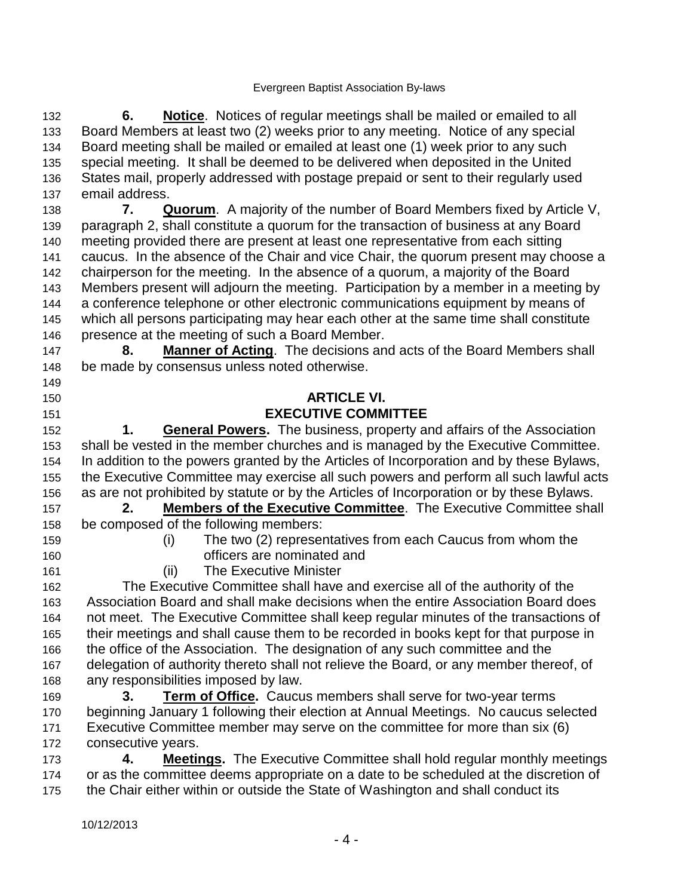**6. Notice**. Notices of regular meetings shall be mailed or emailed to all Board Members at least two (2) weeks prior to any meeting. Notice of any special Board meeting shall be mailed or emailed at least one (1) week prior to any such special meeting. It shall be deemed to be delivered when deposited in the United States mail, properly addressed with postage prepaid or sent to their regularly used email address. **7. Quorum**. A majority of the number of Board Members fixed by Article V, paragraph 2, shall constitute a quorum for the transaction of business at any Board meeting provided there are present at least one representative from each sitting caucus. In the absence of the Chair and vice Chair, the quorum present may choose a chairperson for the meeting. In the absence of a quorum, a majority of the Board Members present will adjourn the meeting. Participation by a member in a meeting by a conference telephone or other electronic communications equipment by means of which all persons participating may hear each other at the same time shall constitute presence at the meeting of such a Board Member. **8. Manner of Acting**. The decisions and acts of the Board Members shall be made by consensus unless noted otherwise. **ARTICLE VI. EXECUTIVE COMMITTEE 1. General Powers.** The business, property and affairs of the Association shall be vested in the member churches and is managed by the Executive Committee. In addition to the powers granted by the Articles of Incorporation and by these Bylaws, the Executive Committee may exercise all such powers and perform all such lawful acts as are not prohibited by statute or by the Articles of Incorporation or by these Bylaws. **2. Members of the Executive Committee**. The Executive Committee shall be composed of the following members: (i) The two (2) representatives from each Caucus from whom the officers are nominated and (ii) The Executive Minister The Executive Committee shall have and exercise all of the authority of the Association Board and shall make decisions when the entire Association Board does not meet. The Executive Committee shall keep regular minutes of the transactions of their meetings and shall cause them to be recorded in books kept for that purpose in the office of the Association. The designation of any such committee and the delegation of authority thereto shall not relieve the Board, or any member thereof, of any responsibilities imposed by law. **3. Term of Office.** Caucus members shall serve for two-year terms beginning January 1 following their election at Annual Meetings. No caucus selected Executive Committee member may serve on the committee for more than six (6) consecutive years. **4. Meetings.** The Executive Committee shall hold regular monthly meetings or as the committee deems appropriate on a date to be scheduled at the discretion of the Chair either within or outside the State of Washington and shall conduct its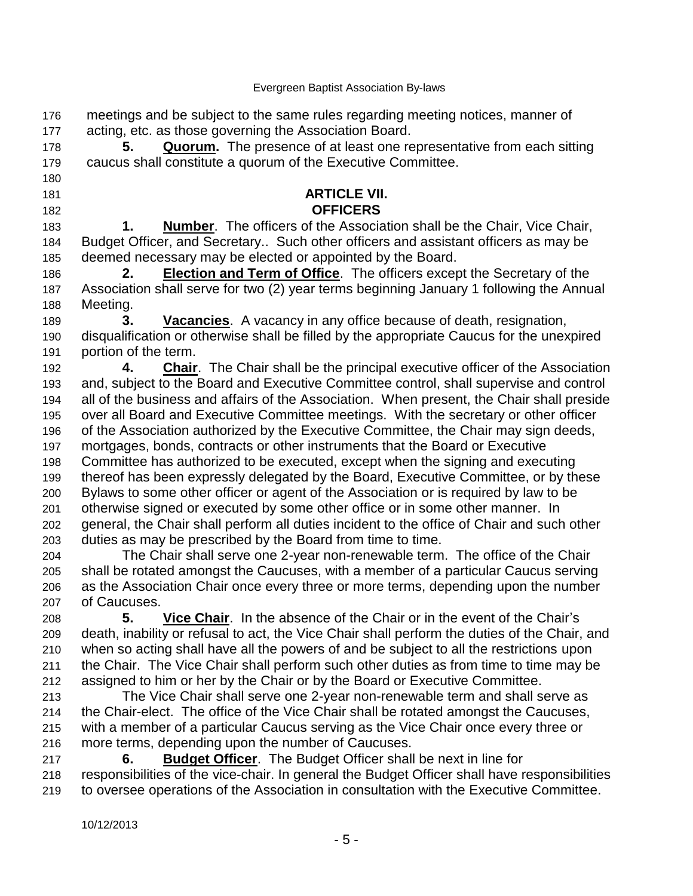| 176 | meetings and be subject to the same rules regarding meeting notices, manner of                |
|-----|-----------------------------------------------------------------------------------------------|
| 177 | acting, etc. as those governing the Association Board.                                        |
| 178 | <b>Quorum.</b> The presence of at least one representative from each sitting<br>5.            |
| 179 | caucus shall constitute a quorum of the Executive Committee.                                  |
| 180 |                                                                                               |
| 181 | <b>ARTICLE VII.</b>                                                                           |
| 182 | <b>OFFICERS</b>                                                                               |
| 183 | <b>Number.</b> The officers of the Association shall be the Chair, Vice Chair,<br>1.          |
| 184 | Budget Officer, and Secretary Such other officers and assistant officers as may be            |
| 185 | deemed necessary may be elected or appointed by the Board.                                    |
| 186 | <b>Election and Term of Office</b> . The officers except the Secretary of the<br>2.           |
| 187 | Association shall serve for two (2) year terms beginning January 1 following the Annual       |
| 188 | Meeting.                                                                                      |
| 189 | Vacancies. A vacancy in any office because of death, resignation,<br>3.                       |
| 190 | disqualification or otherwise shall be filled by the appropriate Caucus for the unexpired     |
| 191 | portion of the term.                                                                          |
| 192 | <b>Chair.</b> The Chair shall be the principal executive officer of the Association<br>4.     |
| 193 | and, subject to the Board and Executive Committee control, shall supervise and control        |
| 194 | all of the business and affairs of the Association. When present, the Chair shall preside     |
| 195 | over all Board and Executive Committee meetings. With the secretary or other officer          |
| 196 | of the Association authorized by the Executive Committee, the Chair may sign deeds,           |
| 197 | mortgages, bonds, contracts or other instruments that the Board or Executive                  |
| 198 | Committee has authorized to be executed, except when the signing and executing                |
| 199 | thereof has been expressly delegated by the Board, Executive Committee, or by these           |
| 200 | Bylaws to some other officer or agent of the Association or is required by law to be          |
| 201 | otherwise signed or executed by some other office or in some other manner. In                 |
| 202 | general, the Chair shall perform all duties incident to the office of Chair and such other    |
| 203 | duties as may be prescribed by the Board from time to time.                                   |
| 204 | The Chair shall serve one 2-year non-renewable term. The office of the Chair                  |
| 205 | shall be rotated amongst the Caucuses, with a member of a particular Caucus serving           |
| 206 | as the Association Chair once every three or more terms, depending upon the number            |
| 207 | of Caucuses.                                                                                  |
| 208 | Vice Chair. In the absence of the Chair or in the event of the Chair's<br>5.                  |
| 209 | death, inability or refusal to act, the Vice Chair shall perform the duties of the Chair, and |
| 210 | when so acting shall have all the powers of and be subject to all the restrictions upon       |
| 211 | the Chair. The Vice Chair shall perform such other duties as from time to time may be         |
| 212 | assigned to him or her by the Chair or by the Board or Executive Committee.                   |
| 213 | The Vice Chair shall serve one 2-year non-renewable term and shall serve as                   |
| 214 | the Chair-elect. The office of the Vice Chair shall be rotated amongst the Caucuses,          |
| 215 | with a member of a particular Caucus serving as the Vice Chair once every three or            |
| 216 | more terms, depending upon the number of Caucuses.                                            |
| 217 | <b>Budget Officer.</b> The Budget Officer shall be next in line for<br>6.                     |
| 218 | responsibilities of the vice-chair. In general the Budget Officer shall have responsibilities |
| 219 | to oversee operations of the Association in consultation with the Executive Committee.        |
|     |                                                                                               |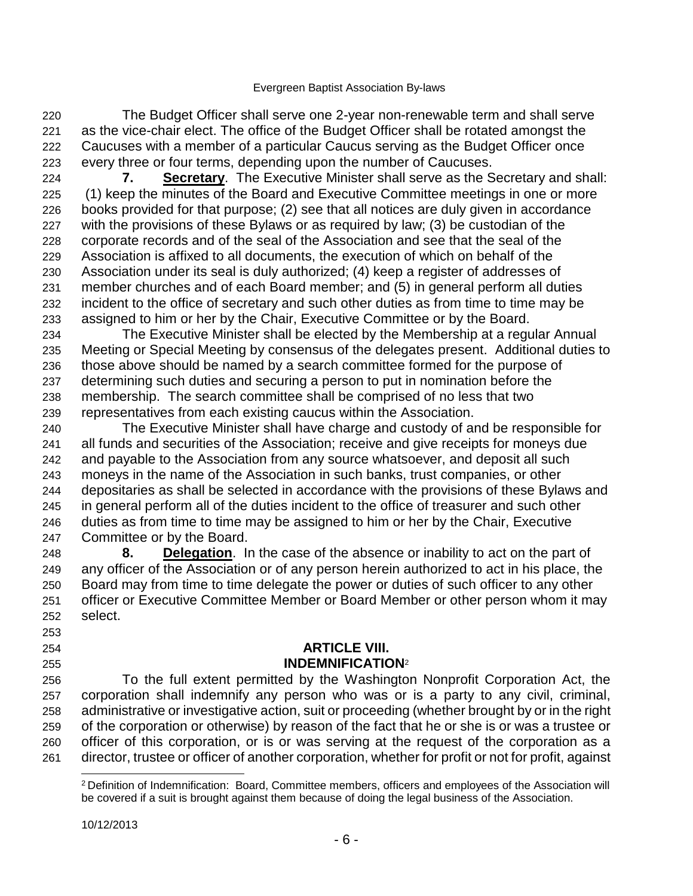The Budget Officer shall serve one 2-year non-renewable term and shall serve as the vice-chair elect. The office of the Budget Officer shall be rotated amongst the Caucuses with a member of a particular Caucus serving as the Budget Officer once every three or four terms, depending upon the number of Caucuses.

 **7. Secretary**. The Executive Minister shall serve as the Secretary and shall: (1) keep the minutes of the Board and Executive Committee meetings in one or more books provided for that purpose; (2) see that all notices are duly given in accordance with the provisions of these Bylaws or as required by law; (3) be custodian of the corporate records and of the seal of the Association and see that the seal of the Association is affixed to all documents, the execution of which on behalf of the Association under its seal is duly authorized; (4) keep a register of addresses of member churches and of each Board member; and (5) in general perform all duties incident to the office of secretary and such other duties as from time to time may be assigned to him or her by the Chair, Executive Committee or by the Board.

 The Executive Minister shall be elected by the Membership at a regular Annual Meeting or Special Meeting by consensus of the delegates present. Additional duties to those above should be named by a search committee formed for the purpose of determining such duties and securing a person to put in nomination before the membership. The search committee shall be comprised of no less that two representatives from each existing caucus within the Association.

 The Executive Minister shall have charge and custody of and be responsible for all funds and securities of the Association; receive and give receipts for moneys due and payable to the Association from any source whatsoever, and deposit all such moneys in the name of the Association in such banks, trust companies, or other depositaries as shall be selected in accordance with the provisions of these Bylaws and in general perform all of the duties incident to the office of treasurer and such other duties as from time to time may be assigned to him or her by the Chair, Executive Committee or by the Board.

 **8. Delegation**. In the case of the absence or inability to act on the part of any officer of the Association or of any person herein authorized to act in his place, the Board may from time to time delegate the power or duties of such officer to any other officer or Executive Committee Member or Board Member or other person whom it may select.

# **ARTICLE VIII. INDEMNIFICATION**<sup>2</sup>

 To the full extent permitted by the Washington Nonprofit Corporation Act, the corporation shall indemnify any person who was or is a party to any civil, criminal, administrative or investigative action, suit or proceeding (whether brought by or in the right of the corporation or otherwise) by reason of the fact that he or she is or was a trustee or officer of this corporation, or is or was serving at the request of the corporation as a director, trustee or officer of another corporation, whether for profit or not for profit, against

l Definition of Indemnification: Board, Committee members, officers and employees of the Association will be covered if a suit is brought against them because of doing the legal business of the Association.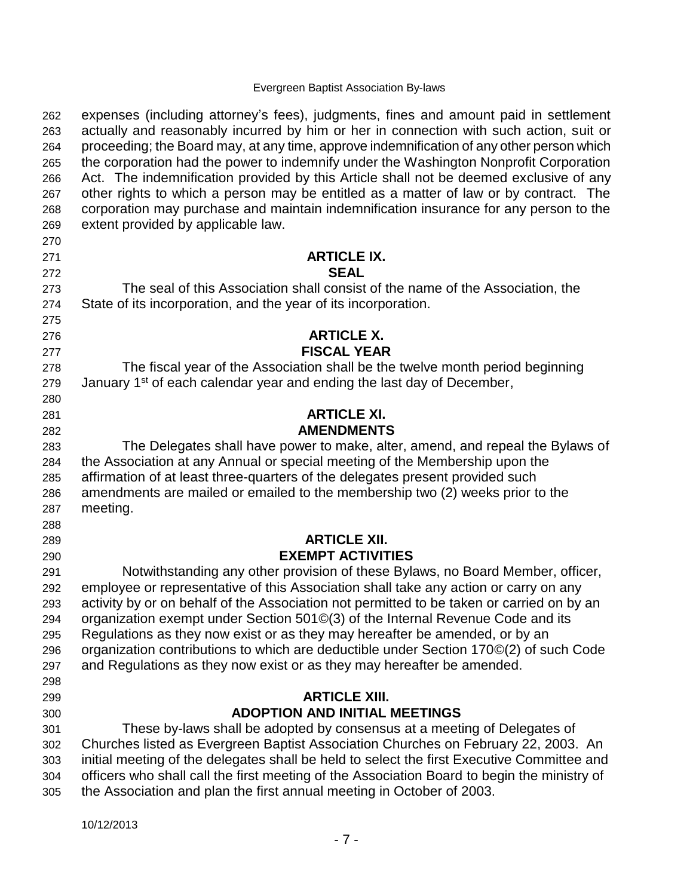expenses (including attorney's fees), judgments, fines and amount paid in settlement actually and reasonably incurred by him or her in connection with such action, suit or proceeding; the Board may, at any time, approve indemnification of any other person which the corporation had the power to indemnify under the Washington Nonprofit Corporation Act. The indemnification provided by this Article shall not be deemed exclusive of any other rights to which a person may be entitled as a matter of law or by contract. The corporation may purchase and maintain indemnification insurance for any person to the extent provided by applicable law. **ARTICLE IX. SEAL** The seal of this Association shall consist of the name of the Association, the State of its incorporation, and the year of its incorporation. **ARTICLE X. FISCAL YEAR** The fiscal year of the Association shall be the twelve month period beginning January 1<sup>st</sup> of each calendar year and ending the last day of December, **ARTICLE XI. AMENDMENTS** The Delegates shall have power to make, alter, amend, and repeal the Bylaws of the Association at any Annual or special meeting of the Membership upon the affirmation of at least three-quarters of the delegates present provided such amendments are mailed or emailed to the membership two (2) weeks prior to the meeting. **ARTICLE XII. EXEMPT ACTIVITIES** Notwithstanding any other provision of these Bylaws, no Board Member, officer, employee or representative of this Association shall take any action or carry on any activity by or on behalf of the Association not permitted to be taken or carried on by an organization exempt under Section 501©(3) of the Internal Revenue Code and its Regulations as they now exist or as they may hereafter be amended, or by an organization contributions to which are deductible under Section 170©(2) of such Code and Regulations as they now exist or as they may hereafter be amended. **ARTICLE XIII. ADOPTION AND INITIAL MEETINGS** These by-laws shall be adopted by consensus at a meeting of Delegates of Churches listed as Evergreen Baptist Association Churches on February 22, 2003. An initial meeting of the delegates shall be held to select the first Executive Committee and officers who shall call the first meeting of the Association Board to begin the ministry of the Association and plan the first annual meeting in October of 2003.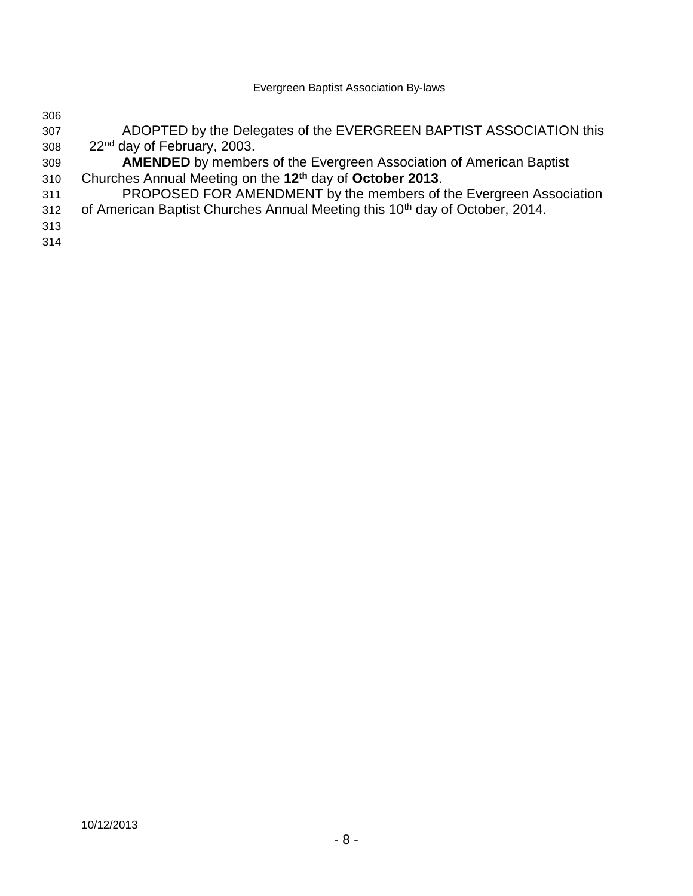306 307 ADOPTED by the Delegates of the EVERGREEN BAPTIST ASSOCIATION this  $308$  22<sup>nd</sup> day of February, 2003. 309 **AMENDED** by members of the Evergreen Association of American Baptist 310 Churches Annual Meeting on the 12<sup>th</sup> day of October 2013. 311 PROPOSED FOR AMENDMENT by the members of the Evergreen Association 312 of American Baptist Churches Annual Meeting this 10<sup>th</sup> day of October, 2014.

313 314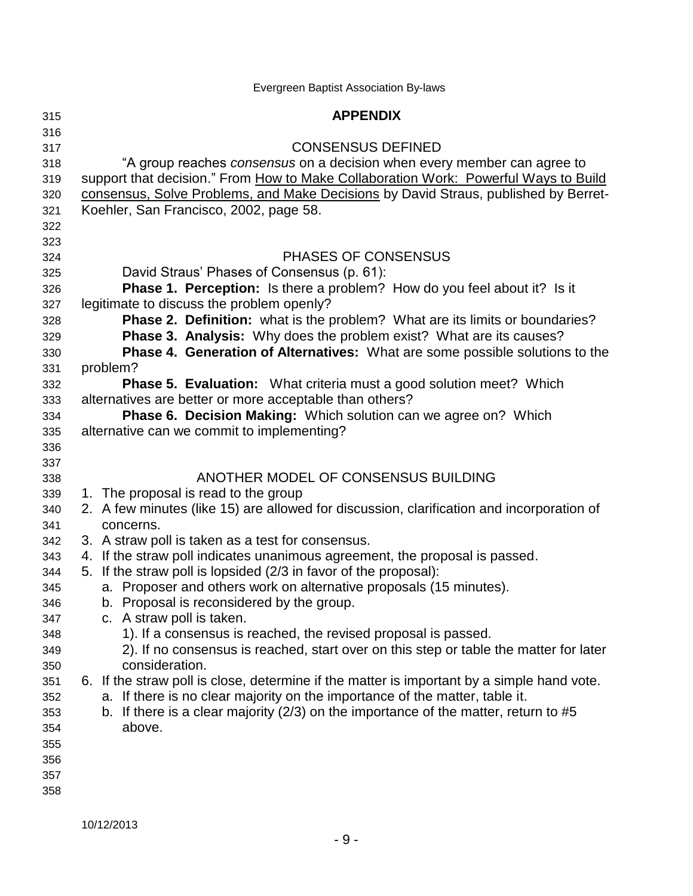|            | Evergreen Baptist Association By-laws                                                                                |
|------------|----------------------------------------------------------------------------------------------------------------------|
| 315        | <b>APPENDIX</b>                                                                                                      |
| 316        |                                                                                                                      |
| 317        | <b>CONSENSUS DEFINED</b>                                                                                             |
| 318        | "A group reaches consensus on a decision when every member can agree to                                              |
| 319        | support that decision." From How to Make Collaboration Work: Powerful Ways to Build                                  |
| 320        | consensus, Solve Problems, and Make Decisions by David Straus, published by Berret-                                  |
| 321        | Koehler, San Francisco, 2002, page 58.                                                                               |
| 322        |                                                                                                                      |
| 323        |                                                                                                                      |
| 324        | PHASES OF CONSENSUS                                                                                                  |
| 325        | David Straus' Phases of Consensus (p. 61):                                                                           |
| 326        | <b>Phase 1. Perception:</b> Is there a problem? How do you feel about it? Is it                                      |
| 327        | legitimate to discuss the problem openly?                                                                            |
| 328        | <b>Phase 2. Definition:</b> what is the problem? What are its limits or boundaries?                                  |
| 329        | <b>Phase 3. Analysis:</b> Why does the problem exist? What are its causes?                                           |
| 330        | <b>Phase 4. Generation of Alternatives:</b> What are some possible solutions to the                                  |
| 331        | problem?                                                                                                             |
| 332        | <b>Phase 5. Evaluation:</b> What criteria must a good solution meet? Which                                           |
| 333        | alternatives are better or more acceptable than others?                                                              |
| 334        | <b>Phase 6. Decision Making: Which solution can we agree on? Which</b><br>alternative can we commit to implementing? |
| 335<br>336 |                                                                                                                      |
| 337        |                                                                                                                      |
| 338        | ANOTHER MODEL OF CONSENSUS BUILDING                                                                                  |
| 339        | 1. The proposal is read to the group                                                                                 |
| 340        | 2. A few minutes (like 15) are allowed for discussion, clarification and incorporation of                            |
| 341        | concerns.                                                                                                            |
| 342        | 3. A straw poll is taken as a test for consensus.                                                                    |
| 343        | 4. If the straw poll indicates unanimous agreement, the proposal is passed.                                          |
| 344        | 5. If the straw poll is lopsided (2/3 in favor of the proposal):                                                     |
| 345        | a. Proposer and others work on alternative proposals (15 minutes).                                                   |
| 346        | b. Proposal is reconsidered by the group.                                                                            |
| 347        | c. A straw poll is taken.                                                                                            |
| 348        | 1). If a consensus is reached, the revised proposal is passed.                                                       |
| 349        | 2). If no consensus is reached, start over on this step or table the matter for later                                |
| 350        | consideration.                                                                                                       |
| 351        | 6. If the straw poll is close, determine if the matter is important by a simple hand vote.                           |
| 352        | a. If there is no clear majority on the importance of the matter, table it.                                          |
| 353        | b. If there is a clear majority (2/3) on the importance of the matter, return to $#5$                                |
| 354        | above.                                                                                                               |
| 355        |                                                                                                                      |
| 356<br>357 |                                                                                                                      |
| 358        |                                                                                                                      |
|            |                                                                                                                      |

10/12/2013